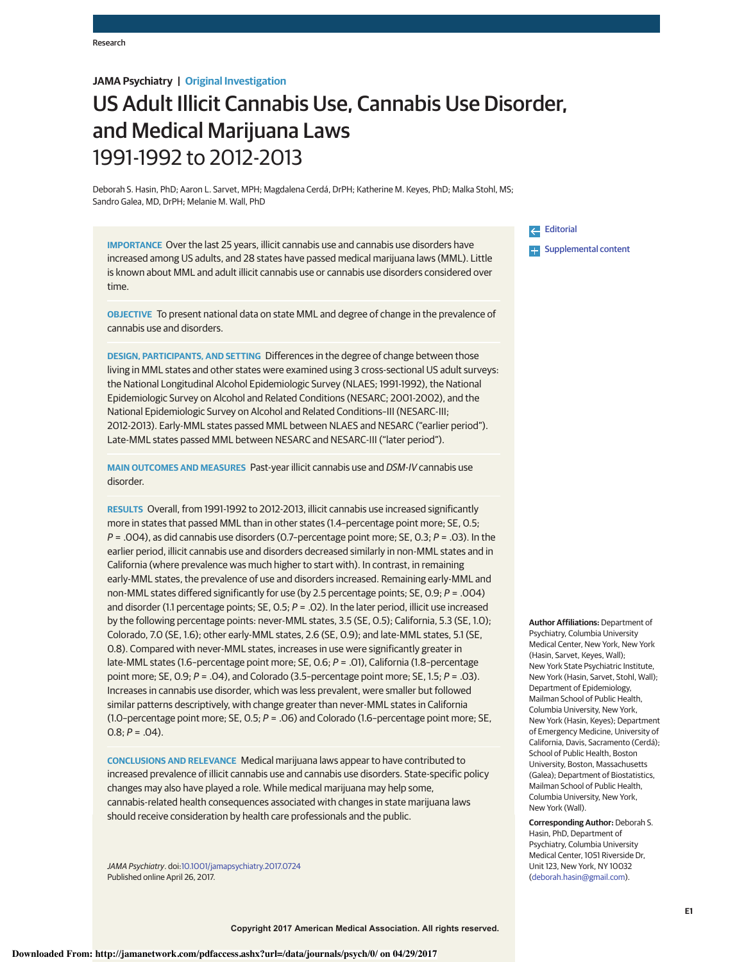## **JAMA Psychiatry | Original Investigation**

# US Adult Illicit Cannabis Use, Cannabis Use Disorder, and Medical Marijuana Laws 1991-1992 to 2012-2013

Deborah S. Hasin, PhD; Aaron L. Sarvet, MPH; Magdalena Cerdá, DrPH; Katherine M. Keyes, PhD; Malka Stohl, MS; Sandro Galea, MD, DrPH; Melanie M. Wall, PhD

**IMPORTANCE** Over the last 25 years, illicit cannabis use and cannabis use disorders have increased among US adults, and 28 states have passed medical marijuana laws (MML). Little is known about MML and adult illicit cannabis use or cannabis use disorders considered over time.

**OBJECTIVE** To present national data on state MML and degree of change in the prevalence of cannabis use and disorders.

**DESIGN, PARTICIPANTS, AND SETTING** Differences in the degree of change between those living in MML states and other states were examined using 3 cross-sectional US adult surveys: the National Longitudinal Alcohol Epidemiologic Survey (NLAES; 1991-1992), the National Epidemiologic Survey on Alcohol and Related Conditions (NESARC; 2001-2002), and the National Epidemiologic Survey on Alcohol and Related Conditions–III (NESARC-III; 2012-2013). Early-MML states passed MML between NLAES and NESARC ("earlier period"). Late-MML states passed MML between NESARC and NESARC-III ("later period").

**MAIN OUTCOMES AND MEASURES** Past-year illicit cannabis use and DSM-IV cannabis use disorder.

**RESULTS** Overall, from 1991-1992 to 2012-2013, illicit cannabis use increased significantly more in states that passed MML than in other states (1.4–percentage point more; SE, 0.5;  $P = .004$ ), as did cannabis use disorders (0.7-percentage point more; SE, 0.3;  $P = .03$ ). In the earlier period, illicit cannabis use and disorders decreased similarly in non-MML states and in California (where prevalence was much higher to start with). In contrast, in remaining early-MML states, the prevalence of use and disorders increased. Remaining early-MML and non-MML states differed significantly for use (by 2.5 percentage points; SE, 0.9; P = .004) and disorder (1.1 percentage points; SE, O.5;  $P = .02$ ). In the later period, illicit use increased by the following percentage points: never-MML states, 3.5 (SE, 0.5); California, 5.3 (SE, 1.0); Colorado, 7.0 (SE, 1.6); other early-MML states, 2.6 (SE, 0.9); and late-MML states, 5.1 (SE, 0.8). Compared with never-MML states, increases in use were significantly greater in late-MML states (1.6–percentage point more; SE, 0.6; P = .01), California (1.8–percentage point more; SE, 0.9;  $P = .04$ ), and Colorado (3.5-percentage point more; SE, 1.5;  $P = .03$ ). Increases in cannabis use disorder, which was less prevalent, were smaller but followed similar patterns descriptively, with change greater than never-MML states in California (1.0-percentage point more; SE, 0.5;  $P = .06$ ) and Colorado (1.6-percentage point more; SE,  $0.8: P = .04$ ).

**CONCLUSIONS AND RELEVANCE** Medical marijuana laws appear to have contributed to increased prevalence of illicit cannabis use and cannabis use disorders. State-specific policy changes may also have played a role. While medical marijuana may help some, cannabis-related health consequences associated with changes in state marijuana laws should receive consideration by health care professionals and the public.

JAMA Psychiatry. doi:10.1001/jamapsychiatry.2017.0724 Published online April 26, 2017.

## Editorial **Examplemental content**

**Author Affiliations:** Department of Psychiatry, Columbia University Medical Center, New York, New York (Hasin, Sarvet, Keyes, Wall); New York State Psychiatric Institute, New York (Hasin, Sarvet, Stohl, Wall); Department of Epidemiology, Mailman School of Public Health, Columbia University, New York, New York (Hasin, Keyes); Department of Emergency Medicine, University of California, Davis, Sacramento (Cerdá); School of Public Health, Boston University, Boston, Massachusetts (Galea); Department of Biostatistics, Mailman School of Public Health, Columbia University, New York, New York (Wall).

**Corresponding Author:** Deborah S. Hasin, PhD, Department of Psychiatry, Columbia University Medical Center, 1051 Riverside Dr, Unit 123, New York, NY 10032 (deborah.hasin@gmail.com).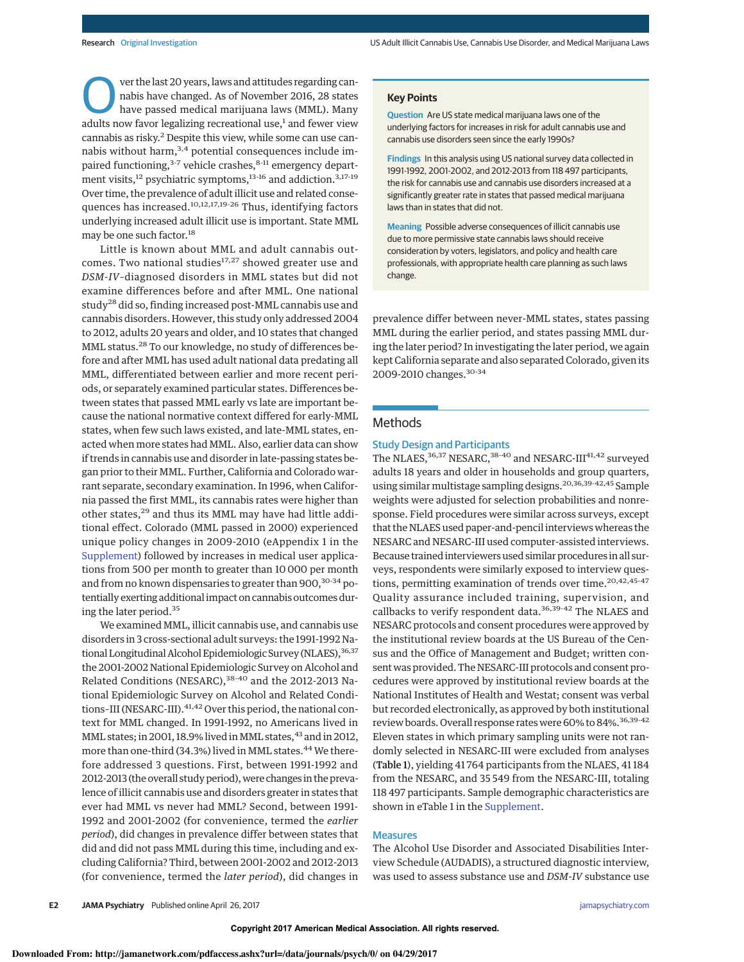**Over the last 20 years, laws and attitudes regarding can-**<br>have passed medical marijuana laws (MML). Many<br>delta marijuana laws (MML). Many nabis have changed. As of November 2016, 28 states adults now favor legalizing recreational use, $<sup>1</sup>$  and fewer view</sup> cannabis as risky.<sup>2</sup> Despite this view, while some can use cannabis without harm, $3,4$  potential consequences include impaired functioning,<sup>3-7</sup> vehicle crashes,<sup>8-11</sup> emergency department visits,<sup>12</sup> psychiatric symptoms,<sup>13-16</sup> and addiction.<sup>3,17-19</sup> Over time, the prevalence of adult illicit use and related consequences has increased.<sup>10,12,17,19-26</sup> Thus, identifying factors underlying increased adult illicit use is important. State MML may be one such factor.<sup>18</sup>

Little is known about MML and adult cannabis outcomes. Two national studies<sup>17,27</sup> showed greater use and DSM-IV–diagnosed disorders in MML states but did not examine differences before and after MML. One national study<sup>28</sup> did so, finding increased post-MML cannabis use and cannabis disorders. However, this study only addressed 2004 to 2012, adults 20 years and older, and 10 states that changed MML status.<sup>28</sup> To our knowledge, no study of differences before and after MML has used adult national data predating all MML, differentiated between earlier and more recent periods, or separately examined particular states. Differences between states that passed MML early vs late are important because the national normative context differed for early-MML states, when few such laws existed, and late-MML states, enacted when more states had MML. Also, earlier data can show if trends in cannabis use and disorder in late-passing states began prior to their MML. Further, California and Colorado warrant separate, secondary examination. In 1996, when California passed the first MML, its cannabis rates were higher than other states,<sup>29</sup> and thus its MML may have had little additional effect. Colorado (MML passed in 2000) experienced unique policy changes in 2009-2010 (eAppendix 1 in the Supplement) followed by increases in medical user applications from 500 per month to greater than 10 000 per month and from no known dispensaries to greater than 900, <sup>30</sup>-<sup>34</sup> potentially exerting additional impact on cannabis outcomes during the later period.<sup>35</sup>

We examined MML, illicit cannabis use, and cannabis use disorders in 3 cross-sectional adult surveys: the 1991-1992 National Longitudinal Alcohol Epidemiologic Survey (NLAES), 36,37 the 2001-2002 National Epidemiologic Survey on Alcohol and Related Conditions (NESARC),<sup>38-40</sup> and the 2012-2013 National Epidemiologic Survey on Alcohol and Related Conditions-III (NESARC-III).<sup>41,42</sup> Over this period, the national context for MML changed. In 1991-1992, no Americans lived in MML states; in 2001, 18.9% lived in MML states, $43$  and in 2012, more than one-third (34.3%) lived in MML states.<sup>44</sup> We therefore addressed 3 questions. First, between 1991-1992 and 2012-2013 (the overall study period), were changes in the prevalence of illicit cannabis use and disorders greater in states that ever had MML vs never had MML? Second, between 1991- 1992 and 2001-2002 (for convenience, termed the earlier period), did changes in prevalence differ between states that did and did not pass MML during this time, including and excluding California? Third, between 2001-2002 and 2012-2013 (for convenience, termed the later period), did changes in

#### **Key Points**

**Question** Are US state medical marijuana laws one of the underlying factors for increases in risk for adult cannabis use and cannabis use disorders seen since the early 1990s?

**Findings** In this analysis using US national survey data collected in 1991-1992, 2001-2002, and 2012-2013 from 118 497 participants, the risk for cannabis use and cannabis use disorders increased at a significantly greater rate in states that passed medical marijuana laws than in states that did not.

**Meaning** Possible adverse consequences of illicit cannabis use due to more permissive state cannabis laws should receive consideration by voters, legislators, and policy and health care professionals, with appropriate health care planning as such laws change.

prevalence differ between never-MML states, states passing MML during the earlier period, and states passing MML during the later period? In investigating the later period, we again kept California separate and also separated Colorado, given its 2009-2010 changes.30-<sup>34</sup>

## Methods

## Study Design and Participants

The NLAES, <sup>36,37</sup> NESARC, <sup>38-40</sup> and NESARC-III<sup>41,42</sup> surveyed adults 18 years and older in households and group quarters, using similar multistage sampling designs.20,36,39-42,<sup>45</sup> Sample weights were adjusted for selection probabilities and nonresponse. Field procedures were similar across surveys, except that the NLAES used paper-and-pencil interviews whereas the NESARC and NESARC-III used computer-assisted interviews. Because trained interviewers used similar procedures in all surveys, respondents were similarly exposed to interview questions, permitting examination of trends over time.<sup>20,42,45-47</sup> Quality assurance included training, supervision, and callbacks to verify respondent data.36,39-<sup>42</sup> The NLAES and NESARC protocols and consent procedures were approved by the institutional review boards at the US Bureau of the Census and the Office of Management and Budget; written consent was provided. The NESARC-III protocols and consent procedures were approved by institutional review boards at the National Institutes of Health and Westat; consent was verbal but recorded electronically, as approved by both institutional review boards. Overall response rates were 60% to 84%.<sup>36,39-42</sup> Eleven states in which primary sampling units were not randomly selected in NESARC-III were excluded from analyses (Table 1), yielding 41 764 participants from the NLAES, 41 184 from the NESARC, and 35 549 from the NESARC-III, totaling 118 497 participants. Sample demographic characteristics are shown in eTable 1 in the Supplement.

### Measures

The Alcohol Use Disorder and Associated Disabilities Interview Schedule (AUDADIS), a structured diagnostic interview, was used to assess substance use and DSM-IV substance use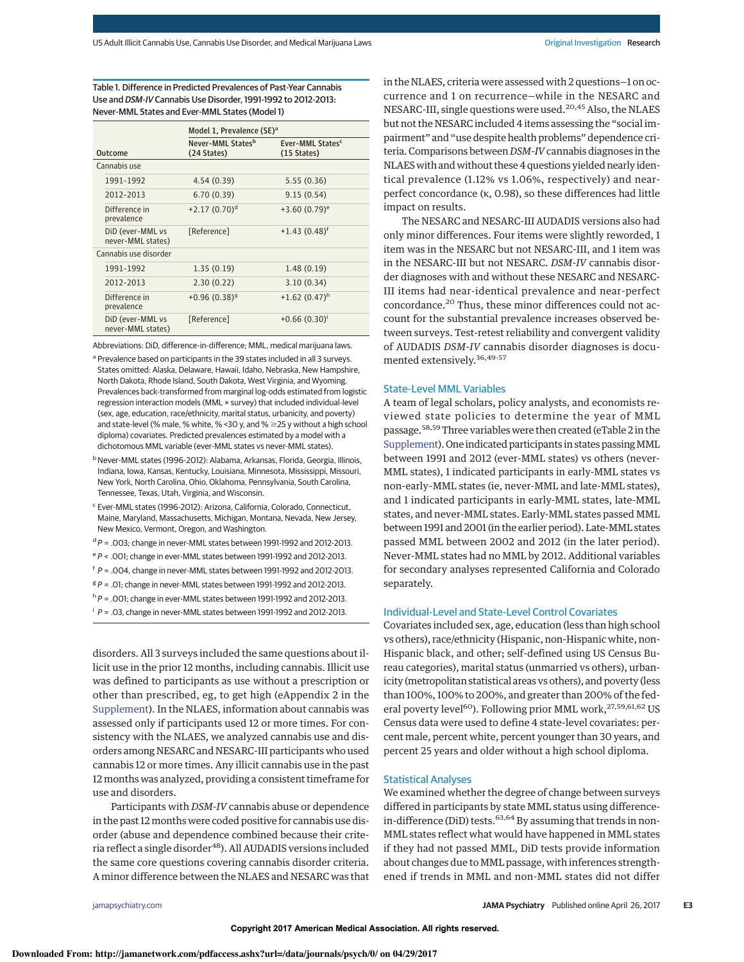Table 1. Difference in Predicted Prevalences of Past-Year Cannabis Use and DSM-IV Cannabis Use Disorder, 1991-1992 to 2012-2013: Never-MML States and Ever-MML States (Model 1)

|                                       | Model 1, Prevalence (SE) <sup>a</sup> |                                                       |  |  |  |
|---------------------------------------|---------------------------------------|-------------------------------------------------------|--|--|--|
| Outcome                               | Never-MML Statesb<br>(24 States)      | Ever-MML States <sup>c</sup><br>$(15 \text{ States})$ |  |  |  |
| Cannabis use                          |                                       |                                                       |  |  |  |
| 1991-1992                             | 4.54(0.39)                            | 5.55(0.36)                                            |  |  |  |
| 2012-2013                             | 6.70(0.39)                            | 9.15(0.54)                                            |  |  |  |
| Difference in<br>prevalence           | $+2.17(0.70)^d$                       | $+3.60(0.79)^e$                                       |  |  |  |
| DiD (ever-MML vs<br>never-MML states) | [Reference]                           | $+1.43(0.48)^{f}$                                     |  |  |  |
| Cannabis use disorder                 |                                       |                                                       |  |  |  |
| 1991-1992                             | 1.35(0.19)                            | 1.48(0.19)                                            |  |  |  |
| 2012-2013                             | 2.30(0.22)                            | 3.10(0.34)                                            |  |  |  |
| Difference in<br>prevalence           | $+0.96(0.38)^{9}$                     | $+1.62(0.47)^h$                                       |  |  |  |
| DiD (ever-MML vs<br>never-MML states) | [Reference]                           | $+0.66(0.30)^{i}$                                     |  |  |  |

Abbreviations: DiD, difference-in-difference; MML, medical marijuana laws.

a Prevalence based on participants in the 39 states included in all 3 surveys. States omitted: Alaska, Delaware, Hawaii, Idaho, Nebraska, New Hampshire, North Dakota, Rhode Island, South Dakota, West Virginia, and Wyoming. Prevalences back-transformed from marginal log-odds estimated from logistic regression interaction models (MML × survey) that included individual-level (sex, age, education, race/ethnicity, marital status, urbanicity, and poverty) and state-level (% male, % white, % < 30 y, and %  $\geq$  25 y without a high school diploma) covariates. Predicted prevalences estimated by a model with a dichotomous MML variable (ever-MML states vs never-MML states).

<sup>b</sup> Never-MML states (1996-2012): Alabama, Arkansas, Florida, Georgia, Illinois, Indiana, Iowa, Kansas, Kentucky, Louisiana, Minnesota, Mississippi, Missouri, New York, North Carolina, Ohio, Oklahoma, Pennsylvania, South Carolina, Tennessee, Texas, Utah, Virginia, and Wisconsin.

- <sup>c</sup> Ever-MML states (1996-2012): Arizona, California, Colorado, Connecticut, Maine, Maryland, Massachusetts, Michigan, Montana, Nevada, New Jersey, New Mexico, Vermont, Oregon, and Washington.
- $dP = 0.003$ ; change in never-MML states between 1991-1992 and 2012-2013.
- <sup>e</sup> P < .001; change in ever-MML states between 1991-1992 and 2012-2013.
- $f$  P = .004, change in never-MML states between 1991-1992 and 2012-2013.
- $g P = 0.01$ ; change in never-MML states between 1991-1992 and 2012-2013.
- $h^h$  P = .001; change in ever-MML states between 1991-1992 and 2012-2013.
- $i$   $P = .03$ , change in never-MML states between 1991-1992 and 2012-2013.

disorders. All 3 surveys included the same questions about illicit use in the prior 12 months, including cannabis. Illicit use was defined to participants as use without a prescription or other than prescribed, eg, to get high (eAppendix 2 in the Supplement). In the NLAES, information about cannabis was assessed only if participants used 12 or more times. For consistency with the NLAES, we analyzed cannabis use and disorders among NESARC and NESARC-III participants who used cannabis 12 or more times. Any illicit cannabis use in the past 12 months was analyzed, providing a consistent timeframe for use and disorders.

Participants with DSM-IV cannabis abuse or dependence in the past 12 months were coded positive for cannabis use disorder (abuse and dependence combined because their criteria reflect a single disorder $48$ ). All AUDADIS versions included the same core questions covering cannabis disorder criteria. A minor difference between the NLAES and NESARC was that in the NLAES, criteria were assessed with 2 questions—1 on occurrence and 1 on recurrence—while in the NESARC and NESARC-III, single questions were used.<sup>20,45</sup> Also, the NLAES but not the NESARC included 4 items assessing the "social impairment" and "use despite health problems" dependence criteria. Comparisons between DSM-IV cannabis diagnoses in the NLAES with and without these 4 questions yielded nearly identical prevalence (1.12% vs 1.06%, respectively) and nearperfect concordance (κ, 0.98), so these differences had little impact on results.

The NESARC and NESARC-III AUDADIS versions also had only minor differences. Four items were slightly reworded, 1 item was in the NESARC but not NESARC-III, and 1 item was in the NESARC-III but not NESARC. DSM-IV cannabis disorder diagnoses with and without these NESARC and NESARC-III items had near-identical prevalence and near-perfect concordance.<sup>20</sup> Thus, these minor differences could not account for the substantial prevalence increases observed between surveys. Test-retest reliability and convergent validity of AUDADIS DSM-IV cannabis disorder diagnoses is documented extensively.36,49-<sup>57</sup>

#### State-Level MML Variables

A team of legal scholars, policy analysts, and economists reviewed state policies to determine the year of MML passage.<sup>58,59</sup>Three variables were then created (eTable 2 in the Supplement). One indicated participants in states passing MML between 1991 and 2012 (ever-MML states) vs others (never-MML states), 1 indicated participants in early-MML states vs non-early–MML states (ie, never-MML and late-MML states), and 1 indicated participants in early-MML states, late-MML states, and never-MML states. Early-MML states passed MML between 1991 and 2001 (in the earlier period). Late-MML states passed MML between 2002 and 2012 (in the later period). Never-MML states had no MML by 2012. Additional variables for secondary analyses represented California and Colorado separately.

#### Individual-Level and State-Level Control Covariates

Covariates included sex, age, education (less than high school vs others), race/ethnicity (Hispanic, non-Hispanic white, non-Hispanic black, and other; self-defined using US Census Bureau categories), marital status (unmarried vs others), urbanicity (metropolitan statistical areas vs others), and poverty (less than 100%, 100% to 200%, and greater than 200% of the federal poverty level<sup>60</sup>). Following prior MML work,<sup>27,59,61,62</sup> US Census data were used to define 4 state-level covariates: percent male, percent white, percent younger than 30 years, and percent 25 years and older without a high school diploma.

## Statistical Analyses

We examined whether the degree of change between surveys differed in participants by state MML status using differencein-difference (DiD) tests.<sup>63,64</sup> By assuming that trends in non-MML states reflect what would have happened in MML states if they had not passed MML, DiD tests provide information about changes due to MML passage, with inferences strengthened if trends in MML and non-MML states did not differ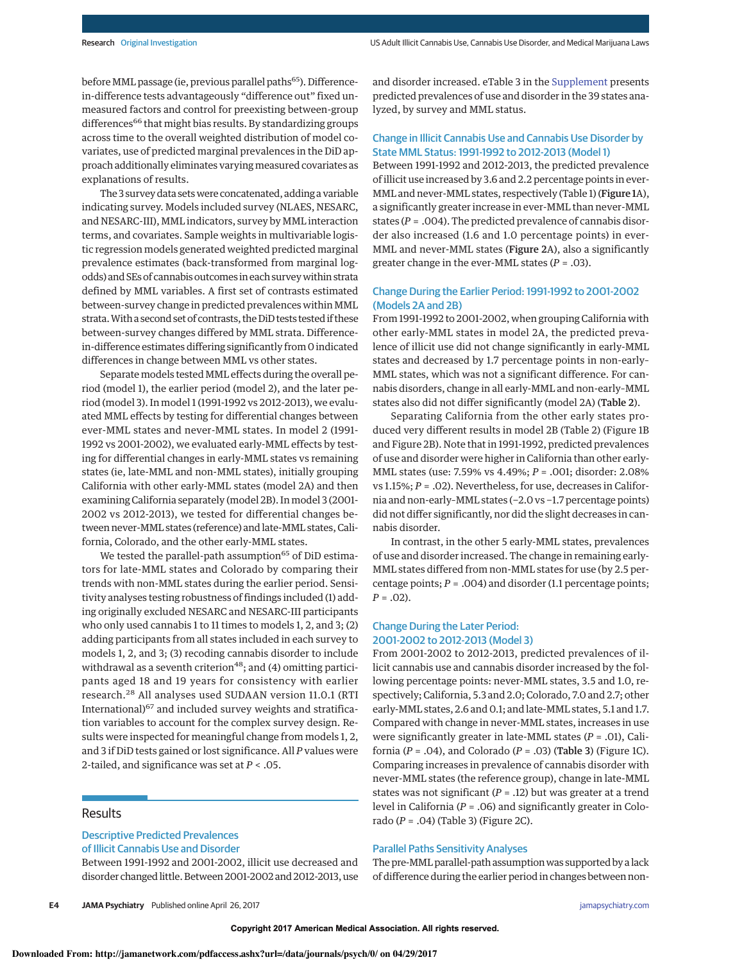before MML passage (ie, previous parallel paths<sup>65</sup>). Differencein-difference tests advantageously "difference out" fixed unmeasured factors and control for preexisting between-group differences<sup>66</sup> that might bias results. By standardizing groups across time to the overall weighted distribution of model covariates, use of predicted marginal prevalences in the DiD approach additionally eliminates varying measured covariates as explanations of results.

The 3 survey data setswere concatenated, adding a variable indicating survey. Models included survey (NLAES, NESARC, and NESARC-III), MML indicators, survey by MML interaction terms, and covariates. Sample weights in multivariable logistic regression models generated weighted predicted marginal prevalence estimates (back-transformed from marginal logodds) and SEs of cannabis outcomes in each survey within strata defined by MML variables. A first set of contrasts estimated between-survey change in predicted prevalences within MML strata.With a second set of contrasts, the DiD tests tested if these between-survey changes differed by MML strata. Differencein-difference estimates differing significantly from 0 indicated differences in change between MML vs other states.

Separate models tested MML effects during the overall period (model 1), the earlier period (model 2), and the later period (model 3). In model 1 (1991-1992 vs 2012-2013), we evaluated MML effects by testing for differential changes between ever-MML states and never-MML states. In model 2 (1991- 1992 vs 2001-2002), we evaluated early-MML effects by testing for differential changes in early-MML states vs remaining states (ie, late-MML and non-MML states), initially grouping California with other early-MML states (model 2A) and then examining California separately (model 2B). In model 3 (2001- 2002 vs 2012-2013), we tested for differential changes between never-MML states (reference) and late-MML states, California, Colorado, and the other early-MML states.

We tested the parallel-path assumption<sup>65</sup> of DiD estimators for late-MML states and Colorado by comparing their trends with non-MML states during the earlier period. Sensitivity analyses testing robustness of findings included (1) adding originally excluded NESARC and NESARC-III participants who only used cannabis 1 to 11 times to models 1, 2, and 3; (2) adding participants from all states included in each survey to models 1, 2, and 3; (3) recoding cannabis disorder to include withdrawal as a seventh criterion<sup>48</sup>; and (4) omitting participants aged 18 and 19 years for consistency with earlier research.<sup>28</sup> All analyses used SUDAAN version 11.0.1 (RTI International)<sup>67</sup> and included survey weights and stratification variables to account for the complex survey design. Results were inspected for meaningful change from models 1, 2, and 3 if DiD tests gained or lost significance. All P values were 2-tailed, and significance was set at  $P < .05$ .

## Results

## Descriptive Predicted Prevalences of Illicit Cannabis Use and Disorder

Between 1991-1992 and 2001-2002, illicit use decreased and disorder changed little. Between 2001-2002 and 2012-2013, use and disorder increased. eTable 3 in the Supplement presents predicted prevalences of use and disorder in the 39 states analyzed, by survey and MML status.

## Change in Illicit Cannabis Use and Cannabis Use Disorder by State MML Status: 1991-1992 to 2012-2013 (Model 1)

Between 1991-1992 and 2012-2013, the predicted prevalence of illicit use increased by 3.6 and 2.2 percentage points in ever-MML and never-MML states, respectively (Table 1) (Figure 1A), a significantly greater increase in ever-MML than never-MML states ( $P = .004$ ). The predicted prevalence of cannabis disorder also increased (1.6 and 1.0 percentage points) in ever-MML and never-MML states (Figure 2A), also a significantly greater change in the ever-MML states ( $P = .03$ ).

## Change During the Earlier Period: 1991-1992 to 2001-2002 (Models 2A and 2B)

From 1991-1992 to 2001-2002, when grouping California with other early-MML states in model 2A, the predicted prevalence of illicit use did not change significantly in early-MML states and decreased by 1.7 percentage points in non-early– MML states, which was not a significant difference. For cannabis disorders, change in all early-MML and non-early–MML states also did not differ significantly (model 2A) (Table 2).

Separating California from the other early states produced very different results in model 2B (Table 2) (Figure 1B and Figure 2B). Note that in 1991-1992, predicted prevalences of use and disorder were higher in California than other early-MML states (use: 7.59% vs 4.49%; P = .001; disorder: 2.08% vs 1.15%;  $P = .02$ ). Nevertheless, for use, decreases in California and non-early–MML states (−2.0vs −1.7 percentage points) did not differ significantly, nor did the slight decreases in cannabis disorder.

In contrast, in the other 5 early-MML states, prevalences of use and disorder increased. The change in remaining early-MML states differed from non-MML states for use (by 2.5 percentage points;  $P = .004$ ) and disorder (1.1 percentage points;  $P = .02$ ).

## Change During the Later Period: 2001-2002 to 2012-2013 (Model 3)

From 2001-2002 to 2012-2013, predicted prevalences of illicit cannabis use and cannabis disorder increased by the following percentage points: never-MML states, 3.5 and 1.0, respectively; California, 5.3 and 2.0; Colorado, 7.0and 2.7; other early-MML states, 2.6 and 0.1; and late-MML states, 5.1 and 1.7. Compared with change in never-MML states, increases in use were significantly greater in late-MML states  $(P = .01)$ , California ( $P = .04$ ), and Colorado ( $P = .03$ ) (Table 3) (Figure 1C). Comparing increases in prevalence of cannabis disorder with never-MML states (the reference group), change in late-MML states was not significant ( $P = .12$ ) but was greater at a trend level in California ( $P = .06$ ) and significantly greater in Colorado ( $P = .04$ ) (Table 3) (Figure 2C).

## Parallel Paths Sensitivity Analyses

The pre-MML parallel-path assumption was supported by a lack of difference during the earlier period in changes between non-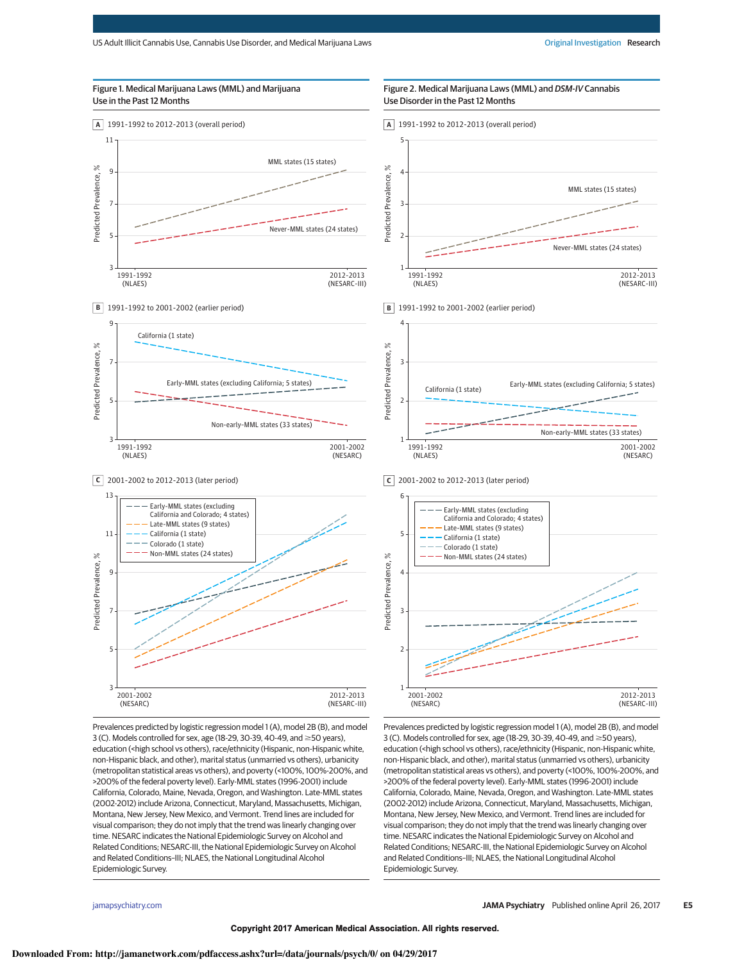### Figure 1. Medical Marijuana Laws (MML) and Marijuana Use in the Past 12 Months





**C** 2001-2002 to 2012-2013 (later period)



Prevalences predicted by logistic regression model 1 (A), model 2B (B), and model 3 (C). Models controlled for sex, age (18-29, 30-39, 40-49, and  $\geq$  50 years), education (<high school vs others), race/ethnicity (Hispanic, non-Hispanic white, non-Hispanic black, and other), marital status (unmarried vs others), urbanicity (metropolitan statistical areas vs others), and poverty (<100%, 100%-200%, and >200% of the federal poverty level). Early-MML states (1996-2001) include California, Colorado, Maine, Nevada, Oregon, and Washington. Late-MML states (2002-2012) include Arizona, Connecticut, Maryland, Massachusetts, Michigan, Montana, New Jersey, New Mexico, and Vermont. Trend lines are included for visual comparison; they do not imply that the trend was linearly changing over time. NESARC indicates the National Epidemiologic Survey on Alcohol and Related Conditions; NESARC-III, the National Epidemiologic Survey on Alcohol and Related Conditions–III; NLAES, the National Longitudinal Alcohol Epidemiologic Survey.



Figure 2. Medical Marijuana Laws (MML) and DSM-IV Cannabis

**B** 1991-1992 to 2001-2002 (earlier period)



**C** 2001-2002 to 2012-2013 (later period)



Prevalences predicted by logistic regression model 1 (A), model 2B (B), and model 3 (C). Models controlled for sex, age (18-29, 30-39, 40-49, and  $\geq$  50 years), education (<high school vs others), race/ethnicity (Hispanic, non-Hispanic white, non-Hispanic black, and other), marital status (unmarried vs others), urbanicity (metropolitan statistical areas vs others), and poverty (<100%, 100%-200%, and >200% of the federal poverty level). Early-MML states (1996-2001) include California, Colorado, Maine, Nevada, Oregon, and Washington. Late-MML states (2002-2012) include Arizona, Connecticut, Maryland, Massachusetts, Michigan, Montana, New Jersey, New Mexico, and Vermont. Trend lines are included for visual comparison; they do not imply that the trend was linearly changing over time. NESARC indicates the National Epidemiologic Survey on Alcohol and Related Conditions; NESARC-III, the National Epidemiologic Survey on Alcohol and Related Conditions–III; NLAES, the National Longitudinal Alcohol Epidemiologic Survey.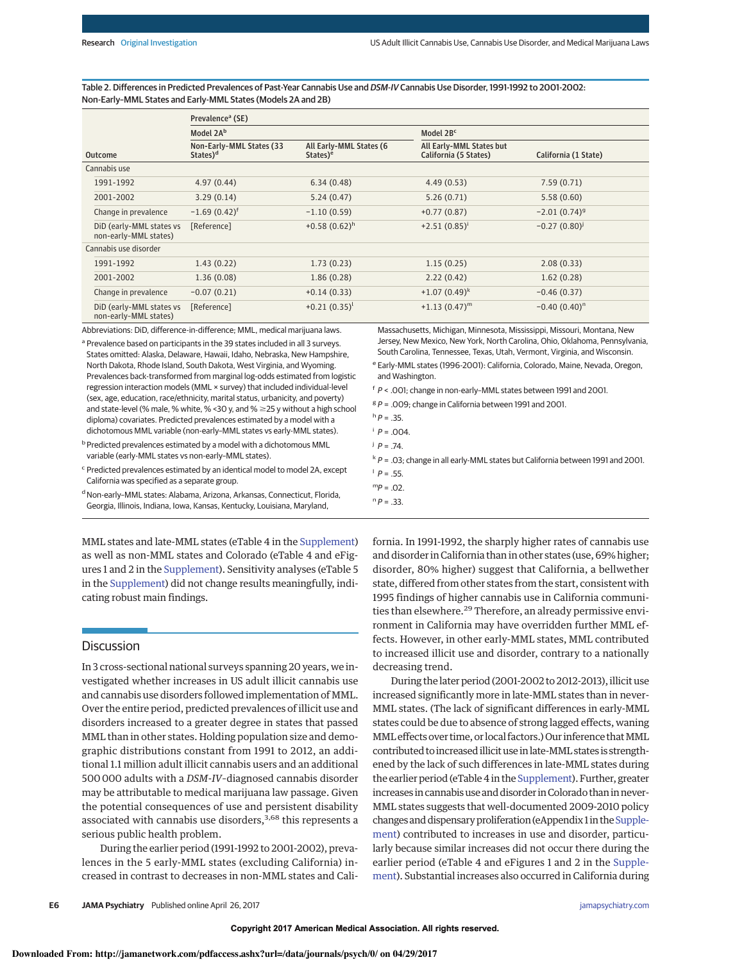Table 2. Differences in Predicted Prevalences of Past-Year Cannabis Use and DSM-IV Cannabis Use Disorder, 1991-1992 to 2001-2002: Non-Early–MML States and Early-MML States (Models 2A and 2B)

|                                                   | Prevalence <sup>a</sup> (SE)                     |                                                 |                                                   |                      |  |  |
|---------------------------------------------------|--------------------------------------------------|-------------------------------------------------|---------------------------------------------------|----------------------|--|--|
|                                                   | Model 2A <sup>b</sup>                            |                                                 | Model 2B <sup>c</sup>                             |                      |  |  |
| <b>Outcome</b>                                    | Non-Early-MML States (33<br>States) <sup>d</sup> | All Early-MML States (6<br>States) <sup>e</sup> | All Early-MML States but<br>California (5 States) | California (1 State) |  |  |
| Cannabis use                                      |                                                  |                                                 |                                                   |                      |  |  |
| 1991-1992                                         | 4.97(0.44)                                       | 6.34(0.48)                                      | 4.49(0.53)                                        | 7.59(0.71)           |  |  |
| 2001-2002                                         | 3.29(0.14)                                       | 5.24(0.47)                                      | 5.26(0.71)                                        | 5.58(0.60)           |  |  |
| Change in prevalence                              | $-1.69(0.42)^f$                                  | $-1.10(0.59)$                                   | $+0.77(0.87)$                                     | $-2.01(0.74)^{9}$    |  |  |
| DiD (early-MML states vs<br>non-early-MML states) | [Reference]                                      | $+0.58(0.62)^h$                                 | $+2.51(0.85)^{i}$                                 | $-0.27(0.80)^{j}$    |  |  |
| Cannabis use disorder                             |                                                  |                                                 |                                                   |                      |  |  |
| 1991-1992                                         | 1.43(0.22)                                       | 1.73(0.23)                                      | 1.15(0.25)                                        | 2.08(0.33)           |  |  |
| 2001-2002                                         | 1.36(0.08)                                       | 1.86(0.28)                                      | 2.22(0.42)                                        | 1.62(0.28)           |  |  |
| Change in prevalence                              | $-0.07(0.21)$                                    | $+0.14(0.33)$                                   | $+1.07(0.49)^{k}$                                 | $-0.46(0.37)$        |  |  |
| DiD (early-MML states vs<br>non-early-MML states) | [Reference]                                      | $+0.21(0.35)^{l}$                               | $+1.13(0.47)^m$                                   | $-0.40(0.40)^n$      |  |  |

Abbreviations: DiD, difference-in-difference; MML, medical marijuana laws.

<sup>a</sup> Prevalence based on participants in the 39 states included in all 3 surveys. States omitted: Alaska, Delaware, Hawaii, Idaho, Nebraska, New Hampshire, North Dakota, Rhode Island, South Dakota, West Virginia, and Wyoming. Prevalences back-transformed from marginal log-odds estimated from logistic regression interaction models (MML × survey) that included individual-level (sex, age, education, race/ethnicity, marital status, urbanicity, and poverty) and state-level (% male, % white, % < 30 y, and  $% \geq 25$  y without a high school diploma) covariates. Predicted prevalences estimated by a model with a dichotomous MML variable (non-early–MML states vs early-MML states).

b Predicted prevalences estimated by a model with a dichotomous MML variable (early-MML states vs non-early–MML states).

<sup>c</sup> Predicted prevalences estimated by an identical model to model 2A, except California was specified as a separate group.

<sup>d</sup> Non-early–MML states: Alabama, Arizona, Arkansas, Connecticut, Florida, Georgia, Illinois, Indiana, Iowa, Kansas, Kentucky, Louisiana, Maryland,

MML states and late-MML states (eTable 4 in the Supplement) as well as non-MML states and Colorado (eTable 4 and eFigures 1 and 2 in the Supplement). Sensitivity analyses (eTable 5 in the Supplement) did not change results meaningfully, indicating robust main findings.

## **Discussion**

In 3 cross-sectional national surveys spanning 20years, we investigated whether increases in US adult illicit cannabis use and cannabis use disorders followed implementation of MML. Over the entire period, predicted prevalences of illicit use and disorders increased to a greater degree in states that passed MML than in other states. Holding population size and demographic distributions constant from 1991 to 2012, an additional 1.1 million adult illicit cannabis users and an additional 500 000 adults with a DSM-IV–diagnosed cannabis disorder may be attributable to medical marijuana law passage. Given the potential consequences of use and persistent disability associated with cannabis use disorders, $3,68$  this represents a serious public health problem.

During the earlier period (1991-1992 to 2001-2002), prevalences in the 5 early-MML states (excluding California) increased in contrast to decreases in non-MML states and Cali-

Massachusetts, Michigan, Minnesota, Mississippi, Missouri, Montana, New Jersey, New Mexico, New York, North Carolina, Ohio, Oklahoma, Pennsylvania, South Carolina, Tennessee, Texas, Utah, Vermont, Virginia, and Wisconsin.

<sup>e</sup> Early-MML states (1996-2001): California, Colorado, Maine, Nevada, Oregon, and Washington.

<sup>f</sup> P < .001; change in non-early–MML states between 1991 and 2001.

 ${}^{g}P$  = .009; change in California between 1991 and 2001.

- $P = .004$ .
- $j$   $P = .74$ .
- $k \cdot P = 0.03$ ; change in all early-MML states but California between 1991 and 2001.
- $^{\dagger}$  P = .55.
- $mp = .02$ .
- $n p = 0.33$ .

fornia. In 1991-1992, the sharply higher rates of cannabis use and disorder in California than in other states (use, 69% higher; disorder, 80% higher) suggest that California, a bellwether state, differed from other states from the start, consistent with 1995 findings of higher cannabis use in California communities than elsewhere.<sup>29</sup> Therefore, an already permissive environment in California may have overridden further MML effects. However, in other early-MML states, MML contributed to increased illicit use and disorder, contrary to a nationally decreasing trend.

During the later period (2001-2002 to 2012-2013), illicit use increased significantly more in late-MML states than in never-MML states. (The lack of significant differences in early-MML states could be due to absence of strong lagged effects, waning MML effects over time, or local factors.) Our inference that MML contributed to increased illicit use in late-MML states is strengthened by the lack of such differences in late-MML states during the earlier period (eTable 4 in the Supplement). Further, greater increases in cannabis use and disorder in Colorado than in never-MML states suggests that well-documented 2009-2010 policy changes and dispensary proliferation (eAppendix 1 in the Supplement) contributed to increases in use and disorder, particularly because similar increases did not occur there during the earlier period (eTable 4 and eFigures 1 and 2 in the Supplement). Substantial increases also occurred in California during

 $h p = 0.35$ .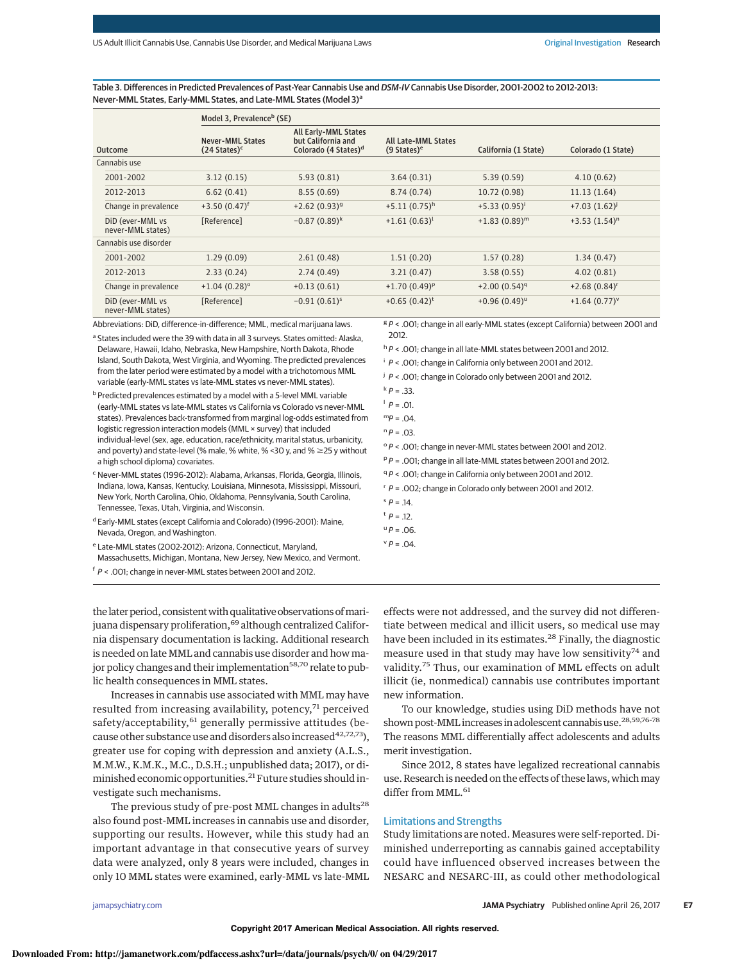Table 3. Differences in Predicted Prevalences of Past-Year Cannabis Use and DSM-IV Cannabis Use Disorder, 2001-2002 to 2012-2013: Never-MML States, Early-MML States, and Late-MML States (Model 3)<sup>a</sup>

|                                       | Model 3, Prevalence <sup>b</sup> (SE)              |                                                                                       |                                                      |                      |                    |  |  |
|---------------------------------------|----------------------------------------------------|---------------------------------------------------------------------------------------|------------------------------------------------------|----------------------|--------------------|--|--|
| <b>Outcome</b>                        | <b>Never-MML States</b><br>$(24 \text{ States})^c$ | <b>All Early-MML States</b><br>but California and<br>Colorado (4 States) <sup>d</sup> | <b>All Late-MML States</b><br>$(9 \text{ States})^e$ | California (1 State) | Colorado (1 State) |  |  |
| Cannabis use                          |                                                    |                                                                                       |                                                      |                      |                    |  |  |
| 2001-2002                             | 3.12(0.15)                                         | 5.93(0.81)                                                                            | 3.64(0.31)                                           | 5.39(0.59)           | 4.10(0.62)         |  |  |
| 2012-2013                             | 6.62(0.41)                                         | 8.55(0.69)                                                                            | 8.74(0.74)                                           | 10.72 (0.98)         | 11.13(1.64)        |  |  |
| Change in prevalence                  | $+3.50(0.47)^f$                                    | $+2.62(0.93)^{9}$                                                                     | $+5.11(0.75)^h$                                      | $+5.33(0.95)^{i}$    | $+7.03(1.62)^{j}$  |  |  |
| DiD (ever-MML vs<br>never-MML states) | [Reference]                                        | $-0.87(0.89)^k$                                                                       | $+1.61(0.63)^{l}$                                    | $+1.83(0.89)^m$      | $+3.53(1.54)^n$    |  |  |
| Cannabis use disorder                 |                                                    |                                                                                       |                                                      |                      |                    |  |  |
| 2001-2002                             | 1.29(0.09)                                         | 2.61(0.48)                                                                            | 1.51(0.20)                                           | 1.57(0.28)           | 1.34(0.47)         |  |  |
| 2012-2013                             | 2.33(0.24)                                         | 2.74(0.49)                                                                            | 3.21(0.47)                                           | 3.58(0.55)           | 4.02(0.81)         |  |  |
| Change in prevalence                  | $+1.04(0.28)$ <sup>o</sup>                         | $+0.13(0.61)$                                                                         | $+1.70(0.49)^p$                                      | $+2.00(0.54)^{q}$    | $+2.68(0.84)^r$    |  |  |
| DiD (ever-MML vs<br>never-MML states) | [Reference]                                        | $-0.91(0.61)^s$                                                                       | $+0.65(0.42)^t$                                      | $+0.96(0.49)^{u}$    | $+1.64(0.77)^{v}$  |  |  |

Abbreviations: DiD, difference-in-difference; MML, medical marijuana laws.

<sup>a</sup> States included were the 39 with data in all 3 surveys. States omitted: Alaska, Delaware, Hawaii, Idaho, Nebraska, New Hampshire, North Dakota, Rhode Island, South Dakota, West Virginia, and Wyoming. The predicted prevalences from the later period were estimated by a model with a trichotomous MML variable (early-MML states vs late-MML states vs never-MML states).

b Predicted prevalences estimated by a model with a 5-level MML variable (early-MML states vs late-MML states vs California vs Colorado vs never-MML states). Prevalences back-transformed from marginal log-odds estimated from logistic regression interaction models (MML × survey) that included individual-level (sex, age, education, race/ethnicity, marital status, urbanicity, and poverty) and state-level (% male, % white, % < 30 y, and %  $\geq$  25 y without a high school diploma) covariates.

<sup>c</sup> Never-MML states (1996-2012): Alabama, Arkansas, Florida, Georgia, Illinois, Indiana, Iowa, Kansas, Kentucky, Louisiana, Minnesota, Mississippi, Missouri, New York, North Carolina, Ohio, Oklahoma, Pennsylvania, South Carolina, Tennessee, Texas, Utah, Virginia, and Wisconsin.

<sup>e</sup> Late-MML states (2002-2012): Arizona, Connecticut, Maryland, Massachusetts, Michigan, Montana, New Jersey, New Mexico, and Vermont.

<sup>f</sup> P < .001; change in never-MML states between 2001 and 2012.

the later period, consistent with qualitative observations of marijuana dispensary proliferation,<sup>69</sup> although centralized California dispensary documentation is lacking. Additional research is needed on late MML and cannabis use disorder and how major policy changes and their implementation<sup>58,70</sup> relate to public health consequences in MML states.

Increases in cannabis use associated with MML may have resulted from increasing availability, potency,<sup>71</sup> perceived safety/acceptability,<sup>61</sup> generally permissive attitudes (because other substance use and disorders also increased  $42,72,73$ ), greater use for coping with depression and anxiety (A.L.S., M.M.W., K.M.K., M.C., D.S.H.; unpublished data; 2017), or diminished economic opportunities.<sup>21</sup> Future studies should investigate such mechanisms.

The previous study of pre-post MML changes in adults<sup>28</sup> also found post-MML increases in cannabis use and disorder, supporting our results. However, while this study had an important advantage in that consecutive years of survey data were analyzed, only 8 years were included, changes in only 10 MML states were examined, early-MML vs late-MML

 ${}^{g}P$  < .001; change in all early-MML states (except California) between 2001 and 2012.

h P < .001; change in all late-MML states between 2001 and 2012.

 $i$   $P$  < .001; change in California only between 2001 and 2012.

 $^{j}$  P < .001; change in Colorado only between 2001 and 2012.

- $k \cdot P = 0.33$ .
- $P = 01$

<sup>o</sup> P < .001; change in never-MML states between 2001 and 2012.

 $P$  P = .001; change in all late-MML states between 2001 and 2012.

<sup>q</sup> P < .001; change in California only between 2001 and 2012.

 $\lceil P = .002$ ; change in Colorado only between 2001 and 2012.

effects were not addressed, and the survey did not differentiate between medical and illicit users, so medical use may have been included in its estimates.<sup>28</sup> Finally, the diagnostic measure used in that study may have low sensitivity<sup>74</sup> and validity.<sup>75</sup> Thus, our examination of MML effects on adult illicit (ie, nonmedical) cannabis use contributes important new information.

To our knowledge, studies using DiD methods have not shown post-MML increases in adolescent cannabis use.28,59,76-<sup>78</sup> The reasons MML differentially affect adolescents and adults merit investigation.

Since 2012, 8 states have legalized recreational cannabis use. Research is needed on the effects of these laws, which may differ from MML.<sup>61</sup>

## Limitations and Strengths

Study limitations are noted. Measures were self-reported. Diminished underreporting as cannabis gained acceptability could have influenced observed increases between the NESARC and NESARC-III, as could other methodological

d Early-MML states (except California and Colorado) (1996-2001): Maine, Nevada, Oregon, and Washington.

 $mp = .04$ .

 $n p = .03$ .

 $P = .14$ .

 $t$   $P = 12$ .

 $^{\text{u}}P = .06$ .  $^{\vee}P = .04$ .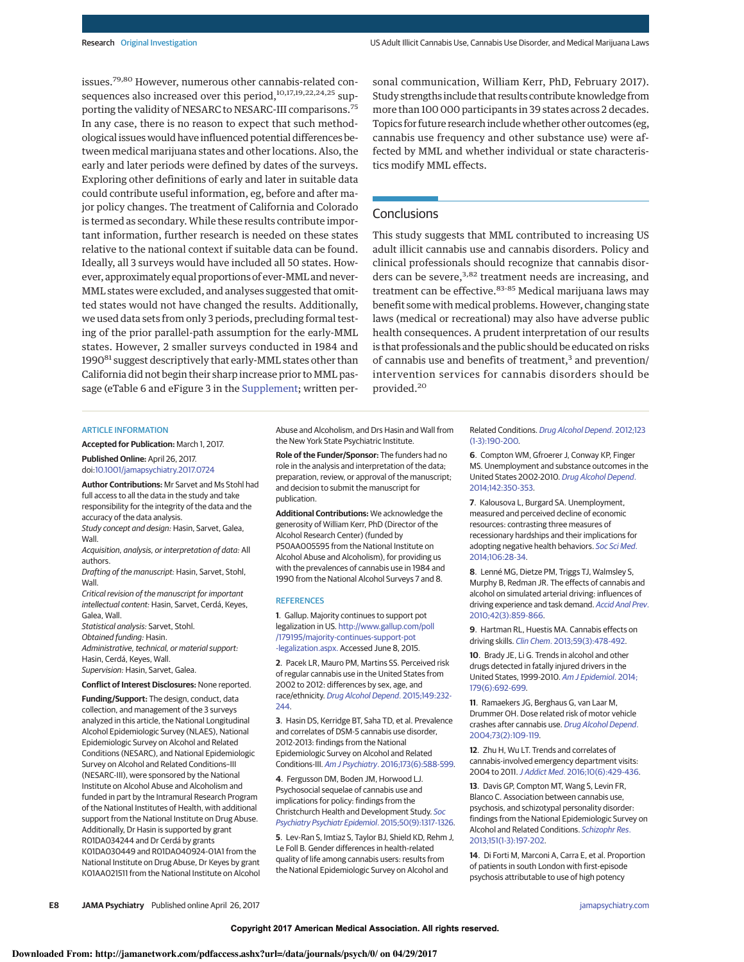issues.<sup>79,80</sup> However, numerous other cannabis-related consequences also increased over this period,<sup>10,17,19,22,24,25</sup> supporting the validity of NESARC to NESARC-III comparisons.<sup>75</sup> In any case, there is no reason to expect that such methodological issues would have influenced potential differences between medical marijuana states and other locations. Also, the early and later periods were defined by dates of the surveys. Exploring other definitions of early and later in suitable data could contribute useful information, eg, before and after major policy changes. The treatment of California and Colorado is termed as secondary. While these results contribute important information, further research is needed on these states relative to the national context if suitable data can be found. Ideally, all 3 surveys would have included all 50 states. However, approximately equal proportions of ever-MML and never-MML states were excluded, and analyses suggested that omitted states would not have changed the results. Additionally, we used data sets from only 3 periods, precluding formal testing of the prior parallel-path assumption for the early-MML states. However, 2 smaller surveys conducted in 1984 and 1990<sup>81</sup> suggest descriptively that early-MML states other than California did not begin their sharp increase prior to MML passage (eTable 6 and eFigure 3 in the Supplement; written personal communication, William Kerr, PhD, February 2017). Study strengths include that results contribute knowledge from more than 100 000 participants in 39 states across 2 decades. Topics for future research include whether other outcomes (eg, cannabis use frequency and other substance use) were affected by MML and whether individual or state characteristics modify MML effects.

## **Conclusions**

This study suggests that MML contributed to increasing US adult illicit cannabis use and cannabis disorders. Policy and clinical professionals should recognize that cannabis disorders can be severe,<sup>3,82</sup> treatment needs are increasing, and treatment can be effective.<sup>83-85</sup> Medical marijuana laws may benefit some with medical problems. However, changing state laws (medical or recreational) may also have adverse public health consequences. A prudent interpretation of our results is that professionals and the public should be educated on risks of cannabis use and benefits of treatment,<sup>3</sup> and prevention/ intervention services for cannabis disorders should be provided.<sup>20</sup>

#### ARTICLE INFORMATION

**Accepted for Publication:** March 1, 2017.

**Published Online:** April 26, 2017. doi:10.1001/jamapsychiatry.2017.0724

**Author Contributions:** Mr Sarvet and Ms Stohl had full access to all the data in the study and take responsibility for the integrity of the data and the accuracy of the data analysis.

Study concept and design: Hasin, Sarvet, Galea, Wall.

Acquisition, analysis, or interpretation of data: All authors.

Drafting of the manuscript: Hasin, Sarvet, Stohl, Wall.

Critical revision of the manuscript for important intellectual content: Hasin, Sarvet, Cerdá, Keyes, Galea, Wall.

Statistical analysis: Sarvet, Stohl.

Obtained funding: Hasin. Administrative, technical, or material support:

Hasin, Cerdá, Keyes, Wall. Supervision: Hasin, Sarvet, Galea.

**Conflict of Interest Disclosures:** None reported.

**Funding/Support:** The design, conduct, data collection, and management of the 3 surveys analyzed in this article, the National Longitudinal Alcohol Epidemiologic Survey (NLAES), National Epidemiologic Survey on Alcohol and Related Conditions (NESARC), and National Epidemiologic Survey on Alcohol and Related Conditions–III (NESARC-III), were sponsored by the National Institute on Alcohol Abuse and Alcoholism and funded in part by the Intramural Research Program of the National Institutes of Health, with additional support from the National Institute on Drug Abuse. Additionally, Dr Hasin is supported by grant R01DA034244 and Dr Cerdá by grants K01DA030449 and R01DA040924-01A1 from the National Institute on Drug Abuse, Dr Keyes by grant K01AA021511 from the National Institute on Alcohol Abuse and Alcoholism, and Drs Hasin and Wall from the New York State Psychiatric Institute.

**Role of the Funder/Sponsor:** The funders had no role in the analysis and interpretation of the data; preparation, review, or approval of the manuscript; and decision to submit the manuscript for publication.

**Additional Contributions:** We acknowledge the generosity of William Kerr, PhD (Director of the Alcohol Research Center) (funded by P50AA005595 from the National Institute on Alcohol Abuse and Alcoholism), for providing us with the prevalences of cannabis use in 1984 and 1990 from the National Alcohol Surveys 7 and 8.

#### **REFERENCES**

**1**. Gallup. Majority continues to support pot legalization in US. http://www.gallup.com/poll /179195/majority-continues-support-pot -legalization.aspx. Accessed June 8, 2015.

**2**. Pacek LR, Mauro PM, Martins SS. Perceived risk of regular cannabis use in the United States from 2002 to 2012: differences by sex, age, and race/ethnicity. Drug Alcohol Depend. 2015;149:232- 244.

**3**. Hasin DS, Kerridge BT, Saha TD, et al. Prevalence and correlates of DSM-5 cannabis use disorder, 2012-2013: findings from the National Epidemiologic Survey on Alcohol and Related Conditions-III. Am J Psychiatry. 2016;173(6):588-599.

**4**. Fergusson DM, Boden JM, Horwood LJ. Psychosocial sequelae of cannabis use and implications for policy: findings from the Christchurch Health and Development Study. Soc Psychiatry Psychiatr Epidemiol. 2015;50(9):1317-1326.

**5**. Lev-Ran S, Imtiaz S, Taylor BJ, Shield KD, Rehm J, Le Foll B. Gender differences in health-related quality of life among cannabis users: results from the National Epidemiologic Survey on Alcohol and

Related Conditions. Drug Alcohol Depend. 2012;123 (1-3):190-200.

**6**. Compton WM, Gfroerer J, Conway KP, Finger MS. Unemployment and substance outcomes in the United States 2002-2010. Drug Alcohol Depend. 2014;142:350-353.

**7**. Kalousova L, Burgard SA. Unemployment, measured and perceived decline of economic resources: contrasting three measures of recessionary hardships and their implications for adopting negative health behaviors. Soc Sci Med. 2014;106:28-34.

**8**. Lenné MG, Dietze PM, Triggs TJ, Walmsley S, Murphy B, Redman JR. The effects of cannabis and alcohol on simulated arterial driving: influences of driving experience and task demand. Accid Anal Prev. 2010;42(3):859-866.

**9**. Hartman RL, Huestis MA. Cannabis effects on driving skills. Clin Chem. 2013;59(3):478-492.

**10**. Brady JE, Li G. Trends in alcohol and other drugs detected in fatally injured drivers in the United States, 1999-2010. Am J Epidemiol. 2014; 179(6):692-699.

**11**. Ramaekers JG, Berghaus G, van Laar M, Drummer OH. Dose related risk of motor vehicle crashes after cannabis use. Drug Alcohol Depend. 2004;73(2):109-119.

**12**. Zhu H, Wu LT. Trends and correlates of cannabis-involved emergency department visits: 2004 to 2011.J Addict Med. 2016;10(6):429-436.

**13**. Davis GP, Compton MT, Wang S, Levin FR, Blanco C. Association between cannabis use, psychosis, and schizotypal personality disorder: findings from the National Epidemiologic Survey on Alcohol and Related Conditions. Schizophr Res. 2013;151(1-3):197-202.

**14**. Di Forti M, Marconi A, Carra E, et al. Proportion of patients in south London with first-episode psychosis attributable to use of high potency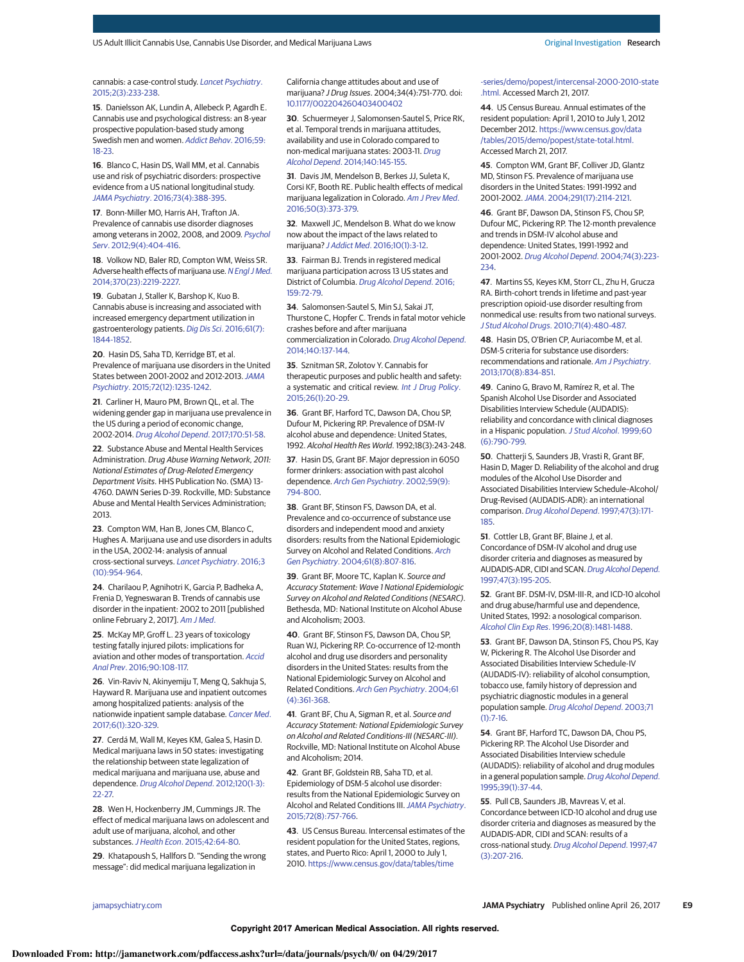#### cannabis: a case-control study. Lancet Psychiatry. 2015;2(3):233-238.

**15**. Danielsson AK, Lundin A, Allebeck P, Agardh E. Cannabis use and psychological distress: an 8-year prospective population-based study among Swedish men and women. Addict Behav. 2016;59: 18-23.

**16**. Blanco C, Hasin DS, Wall MM, et al. Cannabis use and risk of psychiatric disorders: prospective evidence from a US national longitudinal study. JAMA Psychiatry. 2016;73(4):388-395.

**17**. Bonn-Miller MO, Harris AH, Trafton JA. Prevalence of cannabis use disorder diagnoses among veterans in 2002, 2008, and 2009. Psychol Serv. 2012;9(4):404-416.

**18**. Volkow ND, Baler RD, Compton WM, Weiss SR. Adverse health effects of marijuana use. N Engl J Med. 2014;370(23):2219-2227.

**19**. Gubatan J, Staller K, Barshop K, Kuo B. Cannabis abuse is increasing and associated with increased emergency department utilization in gastroenterology patients. Dig Dis Sci. 2016;61(7): 1844-1852.

**20**. Hasin DS, Saha TD, Kerridge BT, et al. Prevalence of marijuana use disorders in the United States between 2001-2002 and 2012-2013.JAMA Psychiatry. 2015;72(12):1235-1242.

**21**. Carliner H, Mauro PM, Brown QL, et al. The widening gender gap in marijuana use prevalence in the US during a period of economic change, 2002-2014. Drug Alcohol Depend. 2017;170:51-58.

**22**. Substance Abuse and Mental Health Services Administration. Drug Abuse Warning Network, 2011: National Estimates of Drug-Related Emergency Department Visits. HHS Publication No. (SMA) 13- 4760. DAWN Series D-39. Rockville, MD: Substance Abuse and Mental Health Services Administration; 2013.

**23**. Compton WM, Han B, Jones CM, Blanco C, Hughes A. Marijuana use and use disorders in adults in the USA, 2002-14: analysis of annual cross-sectional surveys. Lancet Psychiatry. 2016;3 (10):954-964.

**24**. Charilaou P, Agnihotri K, Garcia P, Badheka A, Frenia D, Yegneswaran B. Trends of cannabis use disorder in the inpatient: 2002 to 2011 [published online February 2, 2017]. Am J Med.

**25**. McKay MP, Groff L. 23 years of toxicology testing fatally injured pilots: implications for aviation and other modes of transportation. Accid Anal Prev. 2016;90:108-117.

**26**. Vin-Raviv N, Akinyemiju T, Meng Q, Sakhuja S, Hayward R. Marijuana use and inpatient outcomes among hospitalized patients: analysis of the nationwide inpatient sample database. Cancer Med. 2017;6(1):320-329.

**27**. Cerdá M, Wall M, Keyes KM, Galea S, Hasin D. Medical marijuana laws in 50 states: investigating the relationship between state legalization of medical marijuana and marijuana use, abuse and dependence. Drug Alcohol Depend. 2012;120(1-3): 22-27.

**28**. Wen H, Hockenberry JM, Cummings JR. The effect of medical marijuana laws on adolescent and adult use of marijuana, alcohol, and other substances. J Health Econ. 2015;42:64-80.

**29**. Khatapoush S, Hallfors D. "Sending the wrong message": did medical marijuana legalization in

California change attitudes about and use of marijuana? J Drug Issues. 2004;34(4):751-770. doi: 10.1177/002204260403400402

**30**. Schuermeyer J, Salomonsen-Sautel S, Price RK, et al. Temporal trends in marijuana attitudes, availability and use in Colorado compared to non-medical marijuana states: 2003-11. Drug Alcohol Depend. 2014;140:145-155.

**31**. Davis JM, Mendelson B, Berkes JJ, Suleta K, Corsi KF, Booth RE. Public health effects of medical marijuana legalization in Colorado. Am J Prev Med. 2016;50(3):373-379.

**32**. Maxwell JC, Mendelson B. What do we know now about the impact of the laws related to marijuana? J Addict Med. 2016;10(1):3-12.

**33**. Fairman BJ. Trends in registered medical marijuana participation across 13 US states and District of Columbia. Drug Alcohol Depend. 2016; 159:72-79.

**34**. Salomonsen-Sautel S, Min SJ, Sakai JT, Thurstone C, Hopfer C. Trends in fatal motor vehicle crashes before and after marijuana commercialization in Colorado. Drug Alcohol Depend. 2014;140:137-144.

**35**. Sznitman SR, Zolotov Y. Cannabis for therapeutic purposes and public health and safety: a systematic and critical review. Int J Drug Policy. 2015;26(1):20-29.

**36**. Grant BF, Harford TC, Dawson DA, Chou SP, Dufour M, Pickering RP. Prevalence of DSM-IV alcohol abuse and dependence: United States, 1992. Alcohol Health Res World. 1992;18(3):243-248.

**37**. Hasin DS, Grant BF. Major depression in 6050 former drinkers: association with past alcohol dependence. Arch Gen Psychiatry. 2002;59(9): 794-800.

**38**. Grant BF, Stinson FS, Dawson DA, et al. Prevalence and co-occurrence of substance use disorders and independent mood and anxiety disorders: results from the National Epidemiologic Survey on Alcohol and Related Conditions. Arch Gen Psychiatry. 2004;61(8):807-816.

**39**. Grant BF, Moore TC, Kaplan K. Source and Accuracy Statement: Wave 1 National Epidemiologic Survey on Alcohol and Related Conditions (NESARC). Bethesda, MD: National Institute on Alcohol Abuse and Alcoholism; 2003.

**40**. Grant BF, Stinson FS, Dawson DA, Chou SP, Ruan WJ, Pickering RP. Co-occurrence of 12-month alcohol and drug use disorders and personality disorders in the United States: results from the National Epidemiologic Survey on Alcohol and Related Conditions. Arch Gen Psychiatry. 2004;61 (4):361-368.

**41**. Grant BF, Chu A, Sigman R, et al. Source and Accuracy Statement: National Epidemiologic Survey on Alcohol and Related Conditions-III (NESARC-III). Rockville, MD: National Institute on Alcohol Abuse and Alcoholism; 2014.

**42**. Grant BF, Goldstein RB, Saha TD, et al. Epidemiology of DSM-5 alcohol use disorder: results from the National Epidemiologic Survey on Alcohol and Related Conditions III. JAMA Psychiatry. 2015;72(8):757-766.

**43**. US Census Bureau. Intercensal estimates of the resident population for the United States, regions, states, and Puerto Rico: April 1, 2000 to July 1, 2010. https://www.census.gov/data/tables/time

-series/demo/popest/intercensal-2000-2010-state .html. Accessed March 21, 2017.

**44**. US Census Bureau. Annual estimates of the resident population: April 1, 2010 to July 1, 2012 December 2012. https://www.census.gov/data /tables/2015/demo/popest/state-total.html. Accessed March 21, 2017.

**45**. Compton WM, Grant BF, Colliver JD, Glantz MD, Stinson FS. Prevalence of marijuana use disorders in the United States: 1991-1992 and 2001-2002.JAMA. 2004;291(17):2114-2121.

**46**. Grant BF, Dawson DA, Stinson FS, Chou SP, Dufour MC, Pickering RP. The 12-month prevalence and trends in DSM-IV alcohol abuse and dependence: United States, 1991-1992 and 2001-2002. Drug Alcohol Depend. 2004;74(3):223- 234.

**47**. Martins SS, Keyes KM, Storr CL, Zhu H, Grucza RA. Birth-cohort trends in lifetime and past-year prescription opioid-use disorder resulting from nonmedical use: results from two national surveys. J Stud Alcohol Drugs. 2010;71(4):480-487.

**48**. Hasin DS, O'Brien CP, Auriacombe M, et al. DSM-5 criteria for substance use disorders: recommendations and rationale. Am J Psychiatry. 2013;170(8):834-851.

**49**. Canino G, Bravo M, Ramírez R, et al. The Spanish Alcohol Use Disorder and Associated Disabilities Interview Schedule (AUDADIS): reliability and concordance with clinical diagnoses in a Hispanic population. J Stud Alcohol. 1999;60 (6):790-799.

**50**. Chatterji S, Saunders JB, Vrasti R, Grant BF, Hasin D, Mager D. Reliability of the alcohol and drug modules of the Alcohol Use Disorder and Associated Disabilities Interview Schedule–Alcohol/ Drug-Revised (AUDADIS-ADR): an international comparison. Drug Alcohol Depend. 1997;47(3):171- 185.

**51**. Cottler LB, Grant BF, Blaine J, et al. Concordance of DSM-IV alcohol and drug use disorder criteria and diagnoses as measured by AUDADIS-ADR, CIDI and SCAN. Drug Alcohol Depend. 1997;47(3):195-205.

**52**. Grant BF. DSM-IV, DSM-III-R, and ICD-10 alcohol and drug abuse/harmful use and dependence, United States, 1992: a nosological comparison. Alcohol Clin Exp Res. 1996;20(8):1481-1488.

**53**. Grant BF, Dawson DA, Stinson FS, Chou PS, Kay W, Pickering R. The Alcohol Use Disorder and Associated Disabilities Interview Schedule-IV (AUDADIS-IV): reliability of alcohol consumption, tobacco use, family history of depression and psychiatric diagnostic modules in a general population sample. Drug Alcohol Depend. 2003;71 (1):7-16.

**54**. Grant BF, Harford TC, Dawson DA, Chou PS, Pickering RP. The Alcohol Use Disorder and Associated Disabilities Interview schedule (AUDADIS): reliability of alcohol and drug modules in a general population sample. Drug Alcohol Depend. 1995;39(1):37-44.

**55**. Pull CB, Saunders JB, Mavreas V, et al. Concordance between ICD-10 alcohol and drug use disorder criteria and diagnoses as measured by the AUDADIS-ADR, CIDI and SCAN: results of a cross-national study. Drug Alcohol Depend. 1997;47 (3):207-216.